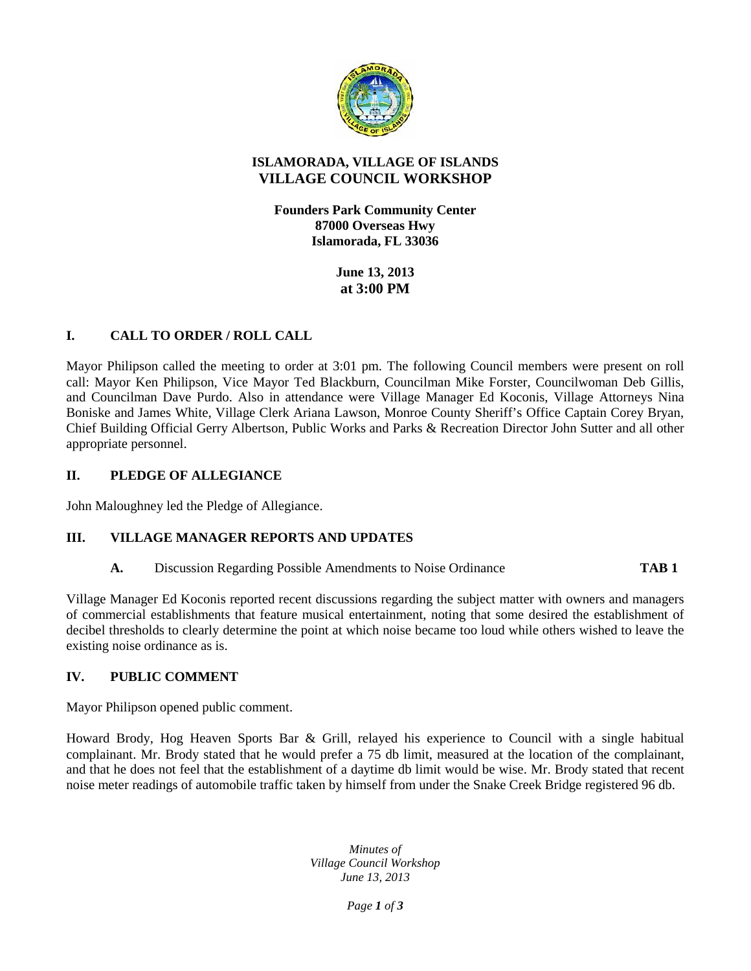

# **ISLAMORADA, VILLAGE OF ISLANDS VILLAGE COUNCIL WORKSHOP**

**Founders Park Community Center 87000 Overseas Hwy Islamorada, FL 33036**

> **June 13, 2013 at 3:00 PM**

# **I. CALL TO ORDER / ROLL CALL**

Mayor Philipson called the meeting to order at 3:01 pm. The following Council members were present on roll call: Mayor Ken Philipson, Vice Mayor Ted Blackburn, Councilman Mike Forster, Councilwoman Deb Gillis, and Councilman Dave Purdo. Also in attendance were Village Manager Ed Koconis, Village Attorneys Nina Boniske and James White, Village Clerk Ariana Lawson, Monroe County Sheriff's Office Captain Corey Bryan, Chief Building Official Gerry Albertson, Public Works and Parks & Recreation Director John Sutter and all other appropriate personnel.

#### **II. PLEDGE OF ALLEGIANCE**

John Maloughney led the Pledge of Allegiance.

# **III. VILLAGE MANAGER REPORTS AND UPDATES**

**A.** Discussion Regarding Possible Amendments to Noise Ordinance **TAB 1**

Village Manager Ed Koconis reported recent discussions regarding the subject matter with owners and managers of commercial establishments that feature musical entertainment, noting that some desired the establishment of decibel thresholds to clearly determine the point at which noise became too loud while others wished to leave the existing noise ordinance as is.

#### **IV. PUBLIC COMMENT**

Mayor Philipson opened public comment.

Howard Brody, Hog Heaven Sports Bar & Grill, relayed his experience to Council with a single habitual complainant. Mr. Brody stated that he would prefer a 75 db limit, measured at the location of the complainant, and that he does not feel that the establishment of a daytime db limit would be wise. Mr. Brody stated that recent noise meter readings of automobile traffic taken by himself from under the Snake Creek Bridge registered 96 db.

> *Minutes of Village Council Workshop June 13, 2013*

> > *Page 1 of 3*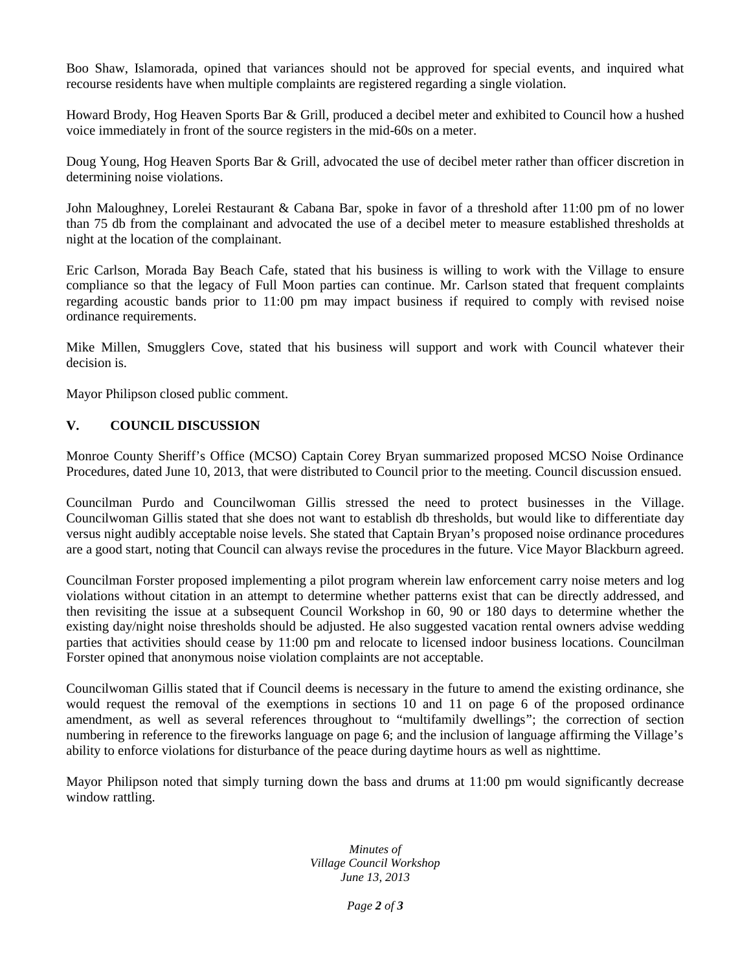Boo Shaw, Islamorada, opined that variances should not be approved for special events, and inquired what recourse residents have when multiple complaints are registered regarding a single violation.

Howard Brody, Hog Heaven Sports Bar & Grill, produced a decibel meter and exhibited to Council how a hushed voice immediately in front of the source registers in the mid-60s on a meter.

Doug Young, Hog Heaven Sports Bar & Grill, advocated the use of decibel meter rather than officer discretion in determining noise violations.

John Maloughney, Lorelei Restaurant & Cabana Bar, spoke in favor of a threshold after 11:00 pm of no lower than 75 db from the complainant and advocated the use of a decibel meter to measure established thresholds at night at the location of the complainant.

Eric Carlson, Morada Bay Beach Cafe, stated that his business is willing to work with the Village to ensure compliance so that the legacy of Full Moon parties can continue. Mr. Carlson stated that frequent complaints regarding acoustic bands prior to 11:00 pm may impact business if required to comply with revised noise ordinance requirements.

Mike Millen, Smugglers Cove, stated that his business will support and work with Council whatever their decision is.

Mayor Philipson closed public comment.

# **V. COUNCIL DISCUSSION**

Monroe County Sheriff's Office (MCSO) Captain Corey Bryan summarized proposed MCSO Noise Ordinance Procedures, dated June 10, 2013, that were distributed to Council prior to the meeting. Council discussion ensued.

Councilman Purdo and Councilwoman Gillis stressed the need to protect businesses in the Village. Councilwoman Gillis stated that she does not want to establish db thresholds, but would like to differentiate day versus night audibly acceptable noise levels. She stated that Captain Bryan's proposed noise ordinance procedures are a good start, noting that Council can always revise the procedures in the future. Vice Mayor Blackburn agreed.

Councilman Forster proposed implementing a pilot program wherein law enforcement carry noise meters and log violations without citation in an attempt to determine whether patterns exist that can be directly addressed, and then revisiting the issue at a subsequent Council Workshop in 60, 90 or 180 days to determine whether the existing day/night noise thresholds should be adjusted. He also suggested vacation rental owners advise wedding parties that activities should cease by 11:00 pm and relocate to licensed indoor business locations. Councilman Forster opined that anonymous noise violation complaints are not acceptable.

Councilwoman Gillis stated that if Council deems is necessary in the future to amend the existing ordinance, she would request the removal of the exemptions in sections 10 and 11 on page 6 of the proposed ordinance amendment, as well as several references throughout to "multifamily dwellings"; the correction of section numbering in reference to the fireworks language on page 6; and the inclusion of language affirming the Village's ability to enforce violations for disturbance of the peace during daytime hours as well as nighttime.

Mayor Philipson noted that simply turning down the bass and drums at 11:00 pm would significantly decrease window rattling.

> *Minutes of Village Council Workshop June 13, 2013*

> > *Page 2 of 3*